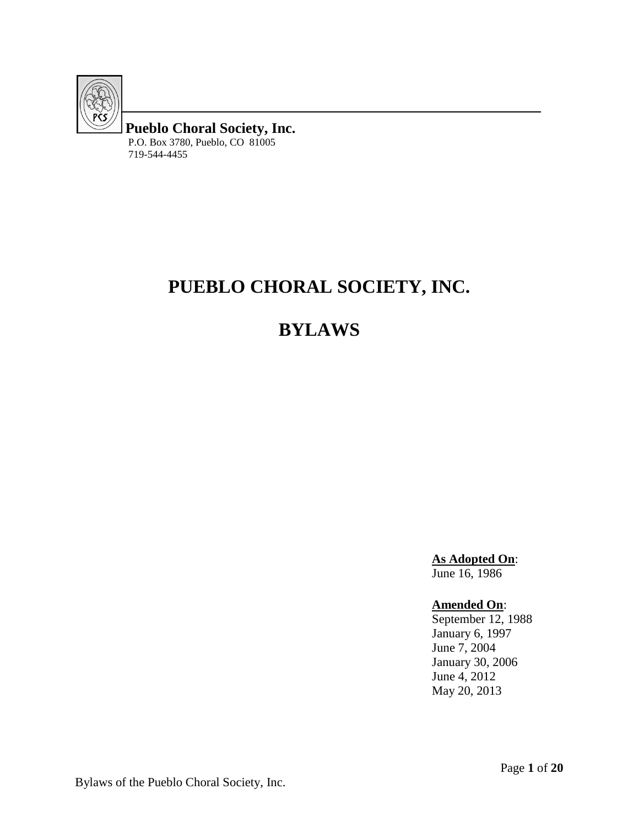

**Pueblo Choral Society, Inc.** P.O. Box 3780, Pueblo, CO 81005 719-544-4455

# **PUEBLO CHORAL SOCIETY, INC.**

# **BYLAWS**

**As Adopted On**: June 16, 1986

**Amended On**:

September 12, 1988 January 6, 1997 June 7, 2004 January 30, 2006 June 4, 2012 May 20, 2013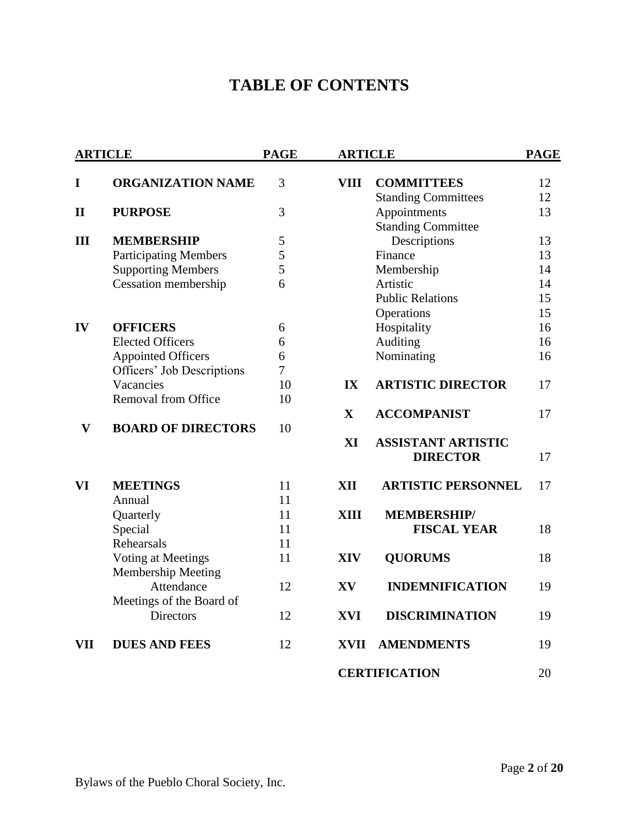# **TABLE OF CONTENTS**

| <b>ARTICLE</b> |                              | <b>PAGE</b> | <b>ARTICLE</b> |                            | <b>PAGE</b> |
|----------------|------------------------------|-------------|----------------|----------------------------|-------------|
| I              | <b>ORGANIZATION NAME</b>     | 3           | VIII           | <b>COMMITTEES</b>          | 12          |
|                |                              |             |                | <b>Standing Committees</b> | 12          |
| $\mathbf{I}$   | <b>PURPOSE</b>               | 3           |                | Appointments               | 13          |
|                |                              |             |                | <b>Standing Committee</b>  |             |
| III            | <b>MEMBERSHIP</b>            | 5           |                | Descriptions               | 13          |
|                | <b>Participating Members</b> | 5           |                | Finance                    | 13          |
|                | <b>Supporting Members</b>    | 5           |                | Membership                 | 14          |
|                | Cessation membership         | 6           |                | Artistic                   | 14          |
|                |                              |             |                | <b>Public Relations</b>    | 15          |
|                |                              |             |                | Operations                 | 15          |
| IV             | <b>OFFICERS</b>              | 6           |                | Hospitality                | 16          |
|                | <b>Elected Officers</b>      | 6           |                | Auditing                   | 16          |
|                | <b>Appointed Officers</b>    | 6           |                | Nominating                 | 16          |
|                | Officers' Job Descriptions   | 7           |                |                            |             |
|                | Vacancies                    | 10          | $\mathbf{IX}$  | <b>ARTISTIC DIRECTOR</b>   | 17          |
|                | Removal from Office          | 10          |                |                            |             |
|                |                              |             | $\mathbf X$    | <b>ACCOMPANIST</b>         | 17          |
| $\mathbf{V}$   | <b>BOARD OF DIRECTORS</b>    | 10          |                |                            |             |
|                |                              |             | XI             | <b>ASSISTANT ARTISTIC</b>  |             |
|                |                              |             |                | <b>DIRECTOR</b>            | 17          |
| VI             | <b>MEETINGS</b>              | 11          | <b>XII</b>     | <b>ARTISTIC PERSONNEL</b>  | 17          |
|                | Annual                       | 11          |                |                            |             |
|                | Quarterly                    | 11          | <b>XIII</b>    | <b>MEMBERSHIP/</b>         |             |
|                | Special                      | 11          |                | <b>FISCAL YEAR</b>         | 18          |
|                | Rehearsals                   | 11          |                |                            |             |
|                | Voting at Meetings           | 11          | <b>XIV</b>     | <b>QUORUMS</b>             | 18          |
|                | <b>Membership Meeting</b>    |             |                |                            |             |
|                | Attendance                   | 12          | XV             | <b>INDEMNIFICATION</b>     | 19          |
|                | Meetings of the Board of     |             |                |                            |             |
|                | <b>Directors</b>             | 12          | <b>XVI</b>     | <b>DISCRIMINATION</b>      | 19          |
| VII            | <b>DUES AND FEES</b>         | 12          | <b>XVII</b>    | <b>AMENDMENTS</b>          | 19          |
|                |                              |             |                | <b>CERTIFICATION</b>       | 20          |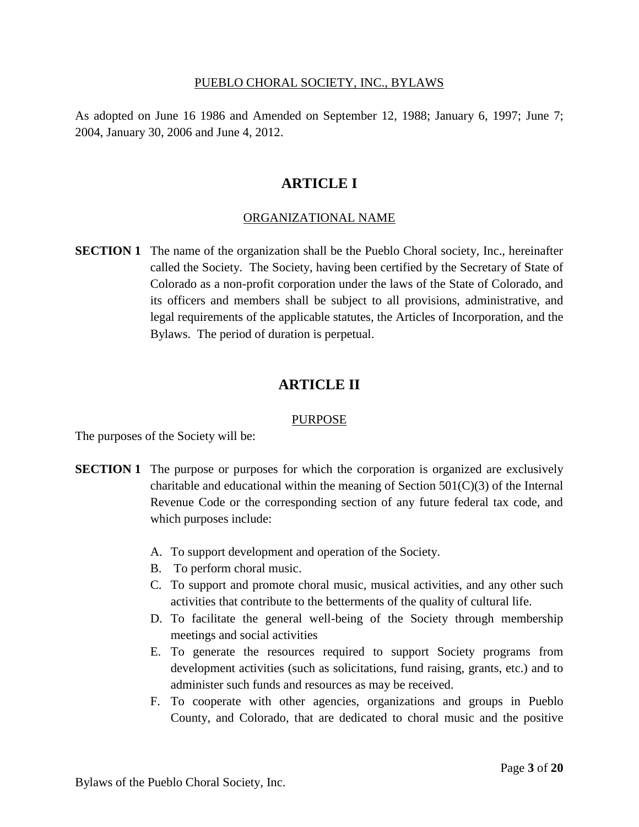#### PUEBLO CHORAL SOCIETY, INC., BYLAWS

As adopted on June 16 1986 and Amended on September 12, 1988; January 6, 1997; June 7; 2004, January 30, 2006 and June 4, 2012.

# **ARTICLE I**

## ORGANIZATIONAL NAME

**SECTION 1** The name of the organization shall be the Pueblo Choral society, Inc., hereinafter called the Society. The Society, having been certified by the Secretary of State of Colorado as a non-profit corporation under the laws of the State of Colorado, and its officers and members shall be subject to all provisions, administrative, and legal requirements of the applicable statutes, the Articles of Incorporation, and the Bylaws. The period of duration is perpetual.

# **ARTICLE II**

#### **PURPOSE**

The purposes of the Society will be:

- **SECTION 1** The purpose or purposes for which the corporation is organized are exclusively charitable and educational within the meaning of Section  $501(C)(3)$  of the Internal Revenue Code or the corresponding section of any future federal tax code, and which purposes include:
	- A. To support development and operation of the Society.
	- B. To perform choral music.
	- C. To support and promote choral music, musical activities, and any other such activities that contribute to the betterments of the quality of cultural life.
	- D. To facilitate the general well-being of the Society through membership meetings and social activities
	- E. To generate the resources required to support Society programs from development activities (such as solicitations, fund raising, grants, etc.) and to administer such funds and resources as may be received.
	- F. To cooperate with other agencies, organizations and groups in Pueblo County, and Colorado, that are dedicated to choral music and the positive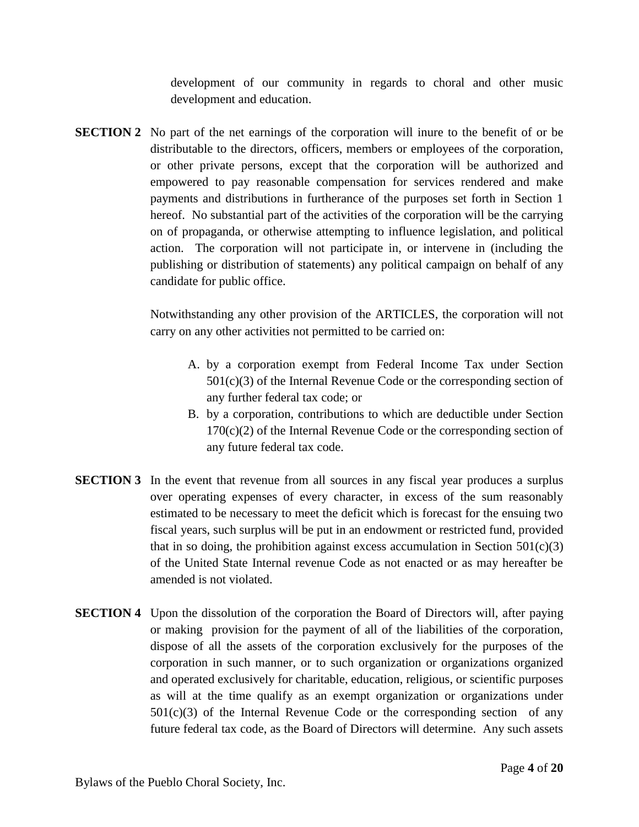development of our community in regards to choral and other music development and education.

**SECTION 2** No part of the net earnings of the corporation will inure to the benefit of or be distributable to the directors, officers, members or employees of the corporation, or other private persons, except that the corporation will be authorized and empowered to pay reasonable compensation for services rendered and make payments and distributions in furtherance of the purposes set forth in Section 1 hereof. No substantial part of the activities of the corporation will be the carrying on of propaganda, or otherwise attempting to influence legislation, and political action. The corporation will not participate in, or intervene in (including the publishing or distribution of statements) any political campaign on behalf of any candidate for public office.

> Notwithstanding any other provision of the ARTICLES, the corporation will not carry on any other activities not permitted to be carried on:

- A. by a corporation exempt from Federal Income Tax under Section  $501(c)(3)$  of the Internal Revenue Code or the corresponding section of any further federal tax code; or
- B. by a corporation, contributions to which are deductible under Section  $170(c)(2)$  of the Internal Revenue Code or the corresponding section of any future federal tax code.
- **SECTION 3** In the event that revenue from all sources in any fiscal year produces a surplus over operating expenses of every character, in excess of the sum reasonably estimated to be necessary to meet the deficit which is forecast for the ensuing two fiscal years, such surplus will be put in an endowment or restricted fund, provided that in so doing, the prohibition against excess accumulation in Section  $501(c)(3)$ of the United State Internal revenue Code as not enacted or as may hereafter be amended is not violated.
- **SECTION 4** Upon the dissolution of the corporation the Board of Directors will, after paying or making provision for the payment of all of the liabilities of the corporation, dispose of all the assets of the corporation exclusively for the purposes of the corporation in such manner, or to such organization or organizations organized and operated exclusively for charitable, education, religious, or scientific purposes as will at the time qualify as an exempt organization or organizations under  $501(c)(3)$  of the Internal Revenue Code or the corresponding section of any future federal tax code, as the Board of Directors will determine. Any such assets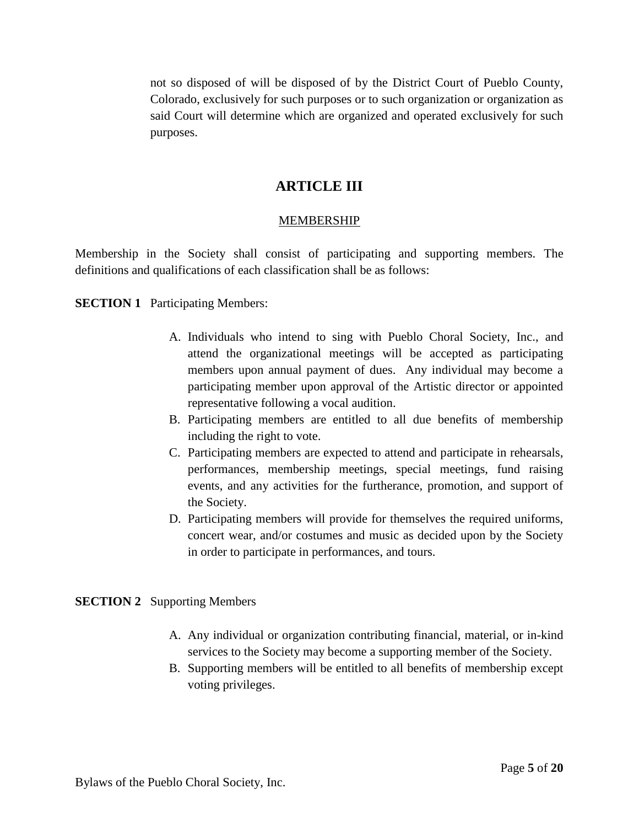not so disposed of will be disposed of by the District Court of Pueblo County, Colorado, exclusively for such purposes or to such organization or organization as said Court will determine which are organized and operated exclusively for such purposes.

# **ARTICLE III**

# **MEMBERSHIP**

Membership in the Society shall consist of participating and supporting members. The definitions and qualifications of each classification shall be as follows:

# **SECTION 1** Participating Members:

- A. Individuals who intend to sing with Pueblo Choral Society, Inc., and attend the organizational meetings will be accepted as participating members upon annual payment of dues. Any individual may become a participating member upon approval of the Artistic director or appointed representative following a vocal audition.
- B. Participating members are entitled to all due benefits of membership including the right to vote.
- C. Participating members are expected to attend and participate in rehearsals, performances, membership meetings, special meetings, fund raising events, and any activities for the furtherance, promotion, and support of the Society.
- D. Participating members will provide for themselves the required uniforms, concert wear, and/or costumes and music as decided upon by the Society in order to participate in performances, and tours.

#### **SECTION 2** Supporting Members

- A. Any individual or organization contributing financial, material, or in-kind services to the Society may become a supporting member of the Society.
- B. Supporting members will be entitled to all benefits of membership except voting privileges.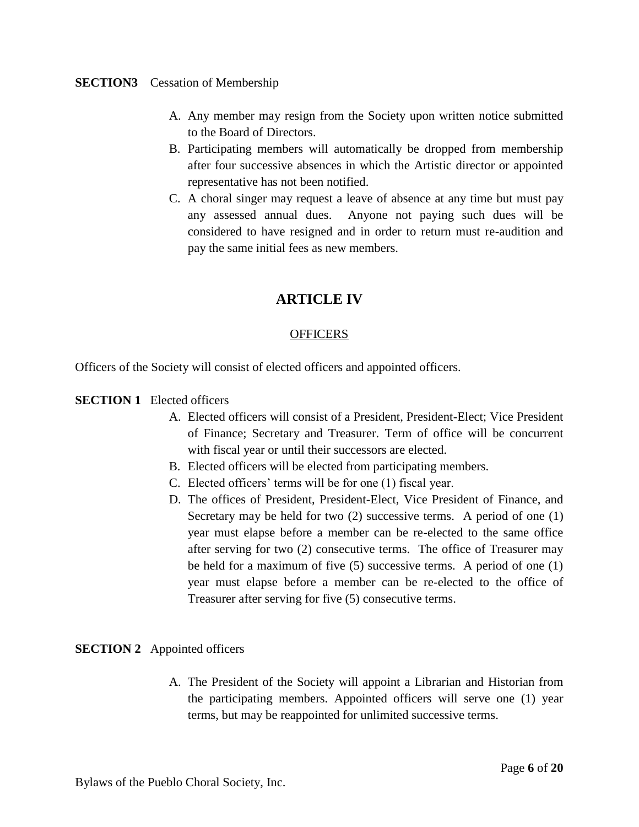#### **SECTION3** Cessation of Membership

- A. Any member may resign from the Society upon written notice submitted to the Board of Directors.
- B. Participating members will automatically be dropped from membership after four successive absences in which the Artistic director or appointed representative has not been notified.
- C. A choral singer may request a leave of absence at any time but must pay any assessed annual dues. Anyone not paying such dues will be considered to have resigned and in order to return must re-audition and pay the same initial fees as new members.

# **ARTICLE IV**

## **OFFICERS**

Officers of the Society will consist of elected officers and appointed officers.

#### **SECTION 1** Elected officers

- A. Elected officers will consist of a President, President-Elect; Vice President of Finance; Secretary and Treasurer. Term of office will be concurrent with fiscal year or until their successors are elected.
- B. Elected officers will be elected from participating members.
- C. Elected officers' terms will be for one (1) fiscal year.
- D. The offices of President, President-Elect, Vice President of Finance, and Secretary may be held for two (2) successive terms. A period of one (1) year must elapse before a member can be re-elected to the same office after serving for two (2) consecutive terms. The office of Treasurer may be held for a maximum of five (5) successive terms. A period of one (1) year must elapse before a member can be re-elected to the office of Treasurer after serving for five (5) consecutive terms.

#### **SECTION 2** Appointed officers

A. The President of the Society will appoint a Librarian and Historian from the participating members. Appointed officers will serve one (1) year terms, but may be reappointed for unlimited successive terms.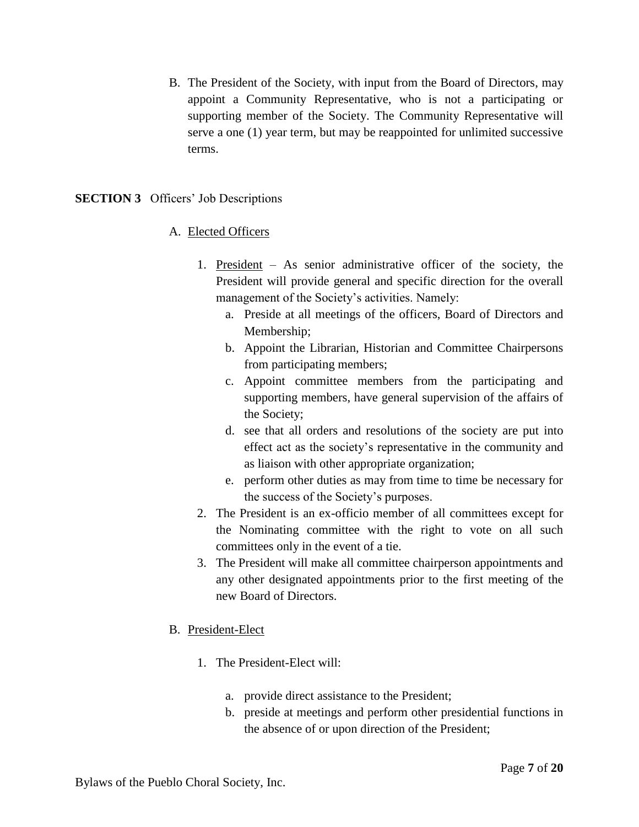B. The President of the Society, with input from the Board of Directors, may appoint a Community Representative, who is not a participating or supporting member of the Society. The Community Representative will serve a one (1) year term, but may be reappointed for unlimited successive terms.

## **SECTION 3** Officers' Job Descriptions

## A. Elected Officers

- 1. President As senior administrative officer of the society, the President will provide general and specific direction for the overall management of the Society's activities. Namely:
	- a. Preside at all meetings of the officers, Board of Directors and Membership;
	- b. Appoint the Librarian, Historian and Committee Chairpersons from participating members;
	- c. Appoint committee members from the participating and supporting members, have general supervision of the affairs of the Society;
	- d. see that all orders and resolutions of the society are put into effect act as the society's representative in the community and as liaison with other appropriate organization;
	- e. perform other duties as may from time to time be necessary for the success of the Society's purposes.
- 2. The President is an ex-officio member of all committees except for the Nominating committee with the right to vote on all such committees only in the event of a tie.
- 3. The President will make all committee chairperson appointments and any other designated appointments prior to the first meeting of the new Board of Directors.

#### B. President-Elect

- 1. The President-Elect will:
	- a. provide direct assistance to the President;
	- b. preside at meetings and perform other presidential functions in the absence of or upon direction of the President;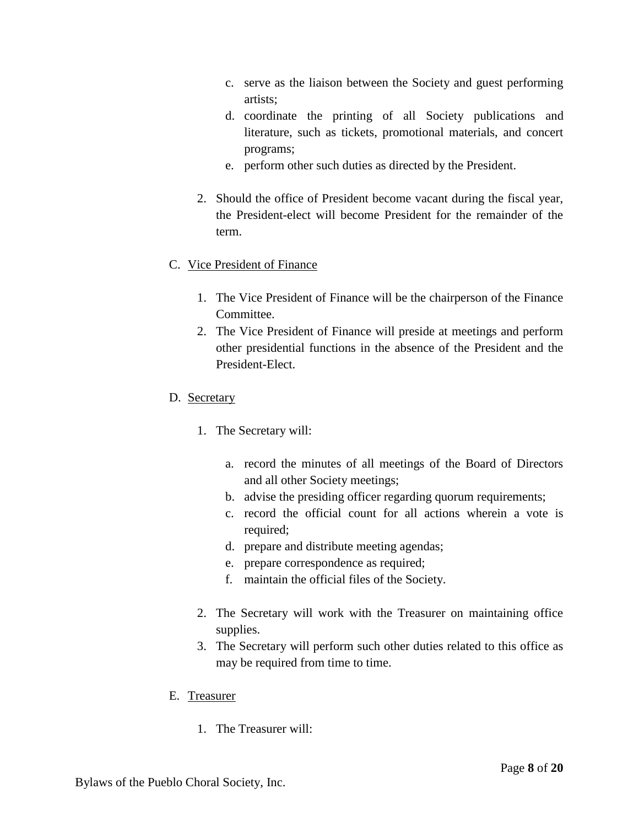- c. serve as the liaison between the Society and guest performing artists;
- d. coordinate the printing of all Society publications and literature, such as tickets, promotional materials, and concert programs;
- e. perform other such duties as directed by the President.
- 2. Should the office of President become vacant during the fiscal year, the President-elect will become President for the remainder of the term.

# C. Vice President of Finance

- 1. The Vice President of Finance will be the chairperson of the Finance Committee.
- 2. The Vice President of Finance will preside at meetings and perform other presidential functions in the absence of the President and the President-Elect.
- D. Secretary
	- 1. The Secretary will:
		- a. record the minutes of all meetings of the Board of Directors and all other Society meetings;
		- b. advise the presiding officer regarding quorum requirements;
		- c. record the official count for all actions wherein a vote is required;
		- d. prepare and distribute meeting agendas;
		- e. prepare correspondence as required;
		- f. maintain the official files of the Society.
	- 2. The Secretary will work with the Treasurer on maintaining office supplies.
	- 3. The Secretary will perform such other duties related to this office as may be required from time to time.
- E. Treasurer
	- 1. The Treasurer will: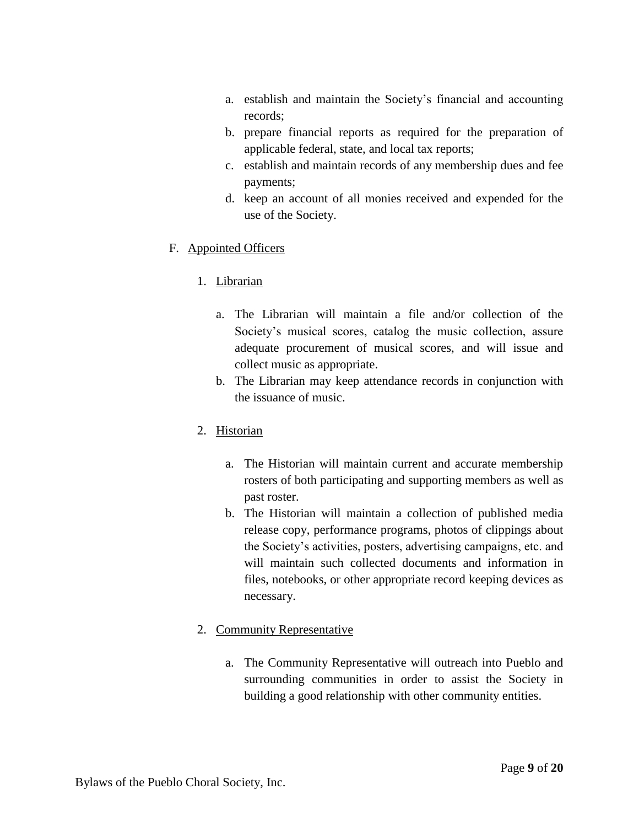- a. establish and maintain the Society's financial and accounting records;
- b. prepare financial reports as required for the preparation of applicable federal, state, and local tax reports;
- c. establish and maintain records of any membership dues and fee payments;
- d. keep an account of all monies received and expended for the use of the Society.

# F. Appointed Officers

# 1. Librarian

- a. The Librarian will maintain a file and/or collection of the Society's musical scores, catalog the music collection, assure adequate procurement of musical scores, and will issue and collect music as appropriate.
- b. The Librarian may keep attendance records in conjunction with the issuance of music.

# 2. Historian

- a. The Historian will maintain current and accurate membership rosters of both participating and supporting members as well as past roster.
- b. The Historian will maintain a collection of published media release copy, performance programs, photos of clippings about the Society's activities, posters, advertising campaigns, etc. and will maintain such collected documents and information in files, notebooks, or other appropriate record keeping devices as necessary.

# 2. Community Representative

a. The Community Representative will outreach into Pueblo and surrounding communities in order to assist the Society in building a good relationship with other community entities.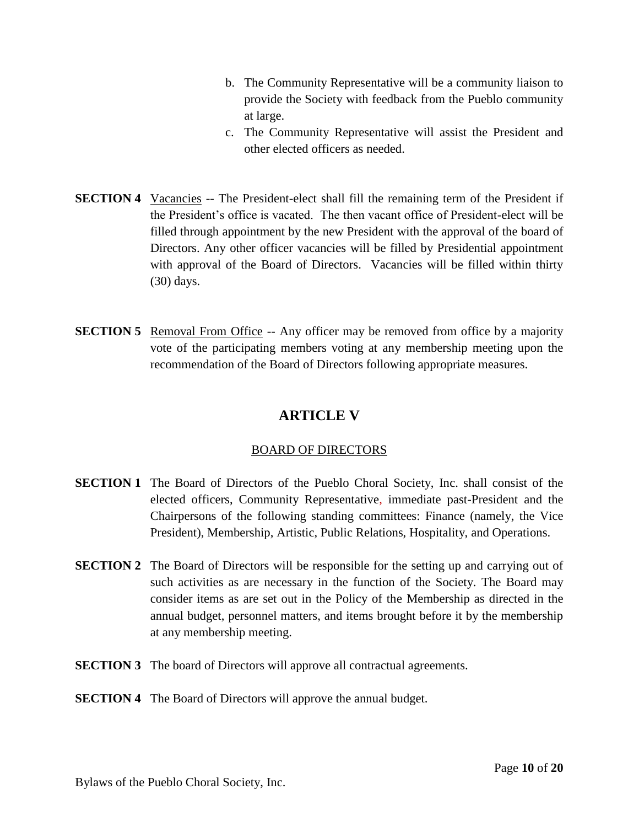- b. The Community Representative will be a community liaison to provide the Society with feedback from the Pueblo community at large.
- c. The Community Representative will assist the President and other elected officers as needed.
- **SECTION 4** Vacancies -- The President-elect shall fill the remaining term of the President if the President's office is vacated. The then vacant office of President-elect will be filled through appointment by the new President with the approval of the board of Directors. Any other officer vacancies will be filled by Presidential appointment with approval of the Board of Directors. Vacancies will be filled within thirty (30) days.
- **SECTION 5** Removal From Office -- Any officer may be removed from office by a majority vote of the participating members voting at any membership meeting upon the recommendation of the Board of Directors following appropriate measures.

# **ARTICLE V**

# BOARD OF DIRECTORS

- **SECTION 1** The Board of Directors of the Pueblo Choral Society, Inc. shall consist of the elected officers, Community Representative, immediate past-President and the Chairpersons of the following standing committees: Finance (namely, the Vice President), Membership, Artistic, Public Relations, Hospitality, and Operations.
- **SECTION 2** The Board of Directors will be responsible for the setting up and carrying out of such activities as are necessary in the function of the Society. The Board may consider items as are set out in the Policy of the Membership as directed in the annual budget, personnel matters, and items brought before it by the membership at any membership meeting.
- **SECTION 3** The board of Directors will approve all contractual agreements.

# **SECTION 4** The Board of Directors will approve the annual budget.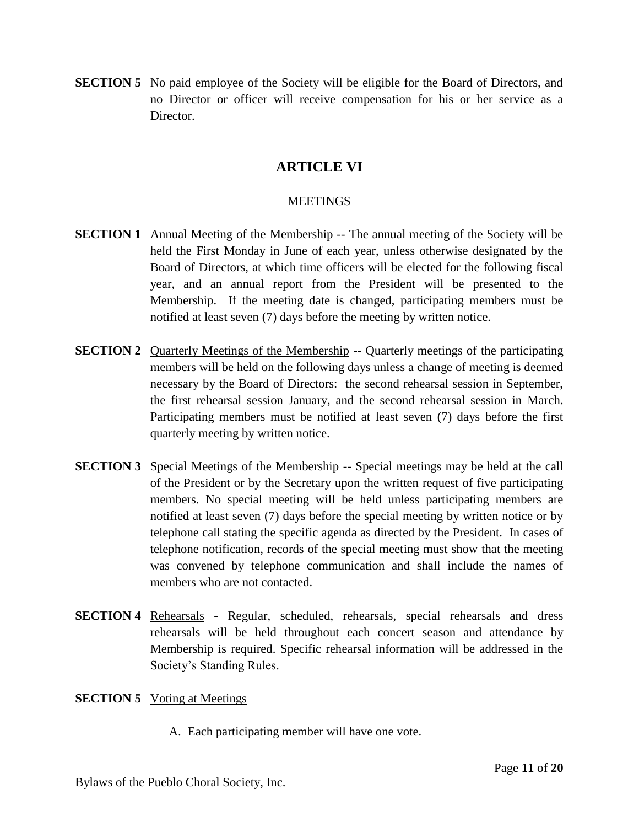**SECTION 5** No paid employee of the Society will be eligible for the Board of Directors, and no Director or officer will receive compensation for his or her service as a Director.

# **ARTICLE VI**

## **MEETINGS**

- **SECTION 1** Annual Meeting of the Membership -- The annual meeting of the Society will be held the First Monday in June of each year, unless otherwise designated by the Board of Directors, at which time officers will be elected for the following fiscal year, and an annual report from the President will be presented to the Membership. If the meeting date is changed, participating members must be notified at least seven (7) days before the meeting by written notice.
- **SECTION 2** Quarterly Meetings of the Membership -- Quarterly meetings of the participating members will be held on the following days unless a change of meeting is deemed necessary by the Board of Directors: the second rehearsal session in September, the first rehearsal session January, and the second rehearsal session in March. Participating members must be notified at least seven (7) days before the first quarterly meeting by written notice.
- **SECTION 3** Special Meetings of the Membership -- Special meetings may be held at the call of the President or by the Secretary upon the written request of five participating members. No special meeting will be held unless participating members are notified at least seven (7) days before the special meeting by written notice or by telephone call stating the specific agenda as directed by the President. In cases of telephone notification, records of the special meeting must show that the meeting was convened by telephone communication and shall include the names of members who are not contacted.
- **SECTION 4** Rehearsals Regular, scheduled, rehearsals, special rehearsals and dress rehearsals will be held throughout each concert season and attendance by Membership is required. Specific rehearsal information will be addressed in the Society's Standing Rules.

#### **SECTION 5** Voting at Meetings

A. Each participating member will have one vote.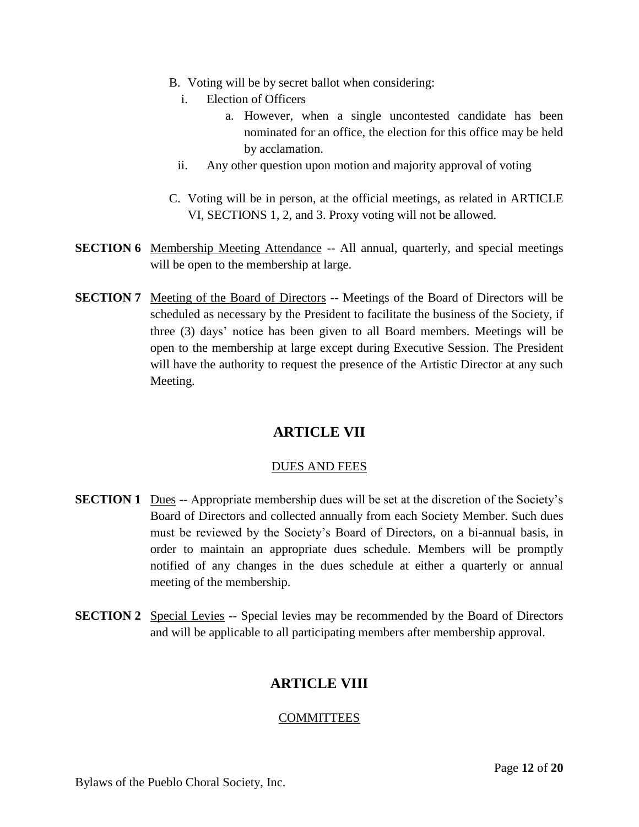- B. Voting will be by secret ballot when considering:
	- i. Election of Officers
		- a. However, when a single uncontested candidate has been nominated for an office, the election for this office may be held by acclamation.
	- ii. Any other question upon motion and majority approval of voting
- C. Voting will be in person, at the official meetings, as related in ARTICLE VI, SECTIONS 1, 2, and 3. Proxy voting will not be allowed.
- **SECTION 6** Membership Meeting Attendance -- All annual, quarterly, and special meetings will be open to the membership at large.
- **SECTION 7** Meeting of the Board of Directors -- Meetings of the Board of Directors will be scheduled as necessary by the President to facilitate the business of the Society, if three (3) days' notice has been given to all Board members. Meetings will be open to the membership at large except during Executive Session. The President will have the authority to request the presence of the Artistic Director at any such Meeting.

# **ARTICLE VII**

# DUES AND FEES

- **SECTION 1** Dues -- Appropriate membership dues will be set at the discretion of the Society's Board of Directors and collected annually from each Society Member. Such dues must be reviewed by the Society's Board of Directors, on a bi-annual basis, in order to maintain an appropriate dues schedule. Members will be promptly notified of any changes in the dues schedule at either a quarterly or annual meeting of the membership.
- **SECTION 2** Special Levies -- Special levies may be recommended by the Board of Directors and will be applicable to all participating members after membership approval.

# **ARTICLE VIII**

# **COMMITTEES**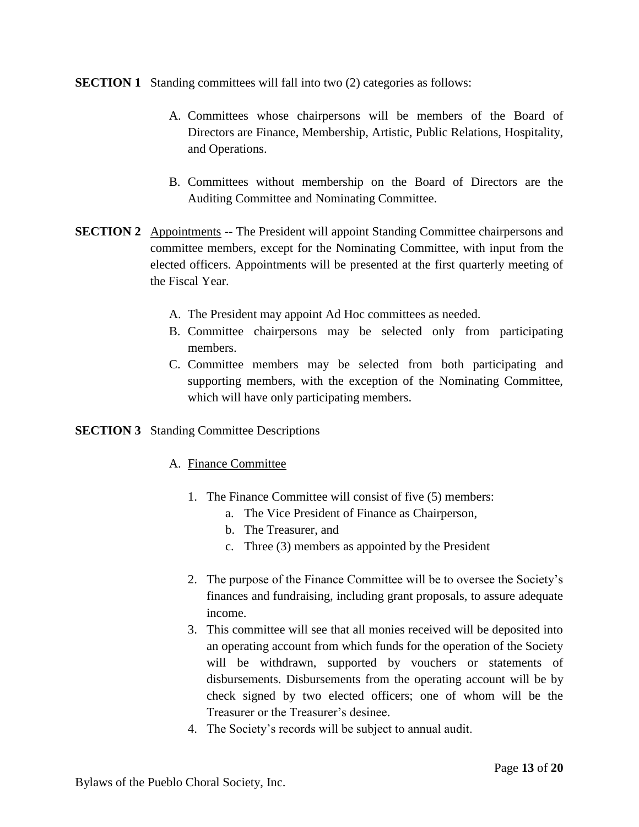#### **SECTION 1** Standing committees will fall into two (2) categories as follows:

- A. Committees whose chairpersons will be members of the Board of Directors are Finance, Membership, Artistic, Public Relations, Hospitality, and Operations.
- B. Committees without membership on the Board of Directors are the Auditing Committee and Nominating Committee.
- **SECTION 2** Appointments -- The President will appoint Standing Committee chairpersons and committee members, except for the Nominating Committee, with input from the elected officers. Appointments will be presented at the first quarterly meeting of the Fiscal Year.
	- A. The President may appoint Ad Hoc committees as needed.
	- B. Committee chairpersons may be selected only from participating members.
	- C. Committee members may be selected from both participating and supporting members, with the exception of the Nominating Committee, which will have only participating members.

#### **SECTION 3** Standing Committee Descriptions

# A. Finance Committee

- 1. The Finance Committee will consist of five (5) members:
	- a. The Vice President of Finance as Chairperson,
	- b. The Treasurer, and
	- c. Three (3) members as appointed by the President
- 2. The purpose of the Finance Committee will be to oversee the Society's finances and fundraising, including grant proposals, to assure adequate income.
- 3. This committee will see that all monies received will be deposited into an operating account from which funds for the operation of the Society will be withdrawn, supported by vouchers or statements of disbursements. Disbursements from the operating account will be by check signed by two elected officers; one of whom will be the Treasurer or the Treasurer's desinee.
- 4. The Society's records will be subject to annual audit.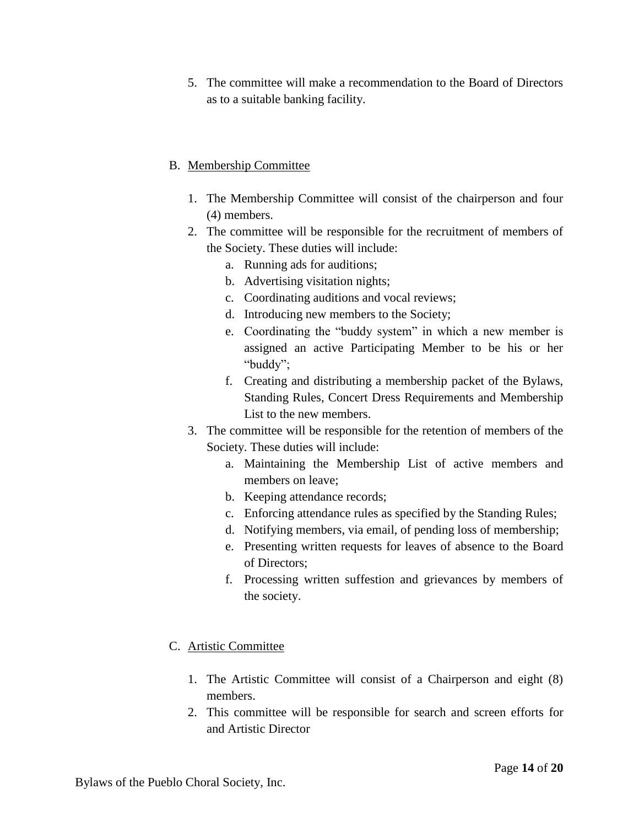5. The committee will make a recommendation to the Board of Directors as to a suitable banking facility.

# B. Membership Committee

- 1. The Membership Committee will consist of the chairperson and four (4) members.
- 2. The committee will be responsible for the recruitment of members of the Society. These duties will include:
	- a. Running ads for auditions;
	- b. Advertising visitation nights;
	- c. Coordinating auditions and vocal reviews;
	- d. Introducing new members to the Society;
	- e. Coordinating the "buddy system" in which a new member is assigned an active Participating Member to be his or her "buddy";
	- f. Creating and distributing a membership packet of the Bylaws, Standing Rules, Concert Dress Requirements and Membership List to the new members.
- 3. The committee will be responsible for the retention of members of the Society. These duties will include:
	- a. Maintaining the Membership List of active members and members on leave;
	- b. Keeping attendance records;
	- c. Enforcing attendance rules as specified by the Standing Rules;
	- d. Notifying members, via email, of pending loss of membership;
	- e. Presenting written requests for leaves of absence to the Board of Directors;
	- f. Processing written suffestion and grievances by members of the society.

# C. Artistic Committee

- 1. The Artistic Committee will consist of a Chairperson and eight (8) members.
- 2. This committee will be responsible for search and screen efforts for and Artistic Director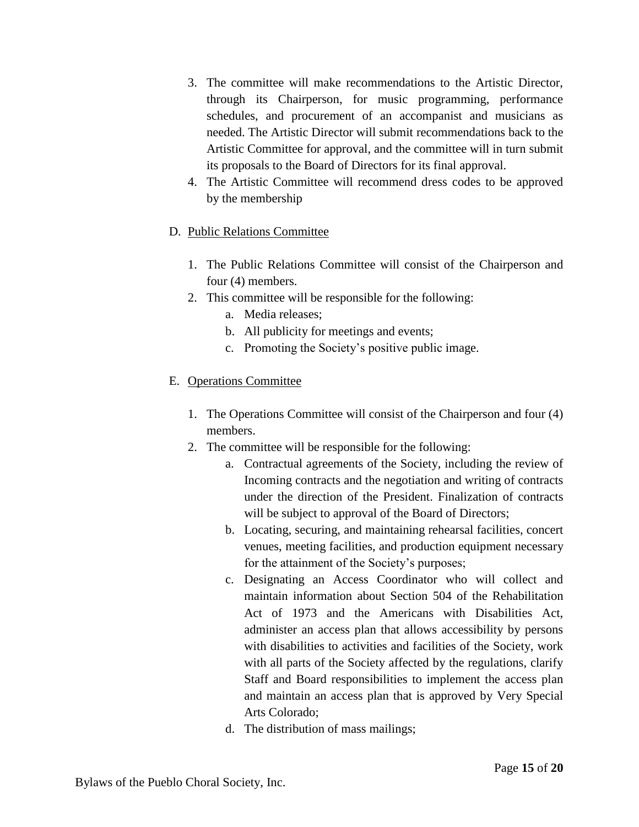- 3. The committee will make recommendations to the Artistic Director, through its Chairperson, for music programming, performance schedules, and procurement of an accompanist and musicians as needed. The Artistic Director will submit recommendations back to the Artistic Committee for approval, and the committee will in turn submit its proposals to the Board of Directors for its final approval.
- 4. The Artistic Committee will recommend dress codes to be approved by the membership
- D. Public Relations Committee
	- 1. The Public Relations Committee will consist of the Chairperson and four (4) members.
	- 2. This committee will be responsible for the following:
		- a. Media releases;
		- b. All publicity for meetings and events;
		- c. Promoting the Society's positive public image.

# E. Operations Committee

- 1. The Operations Committee will consist of the Chairperson and four (4) members.
- 2. The committee will be responsible for the following:
	- a. Contractual agreements of the Society, including the review of Incoming contracts and the negotiation and writing of contracts under the direction of the President. Finalization of contracts will be subject to approval of the Board of Directors;
	- b. Locating, securing, and maintaining rehearsal facilities, concert venues, meeting facilities, and production equipment necessary for the attainment of the Society's purposes;
	- c. Designating an Access Coordinator who will collect and maintain information about Section 504 of the Rehabilitation Act of 1973 and the Americans with Disabilities Act, administer an access plan that allows accessibility by persons with disabilities to activities and facilities of the Society, work with all parts of the Society affected by the regulations, clarify Staff and Board responsibilities to implement the access plan and maintain an access plan that is approved by Very Special Arts Colorado;
	- d. The distribution of mass mailings;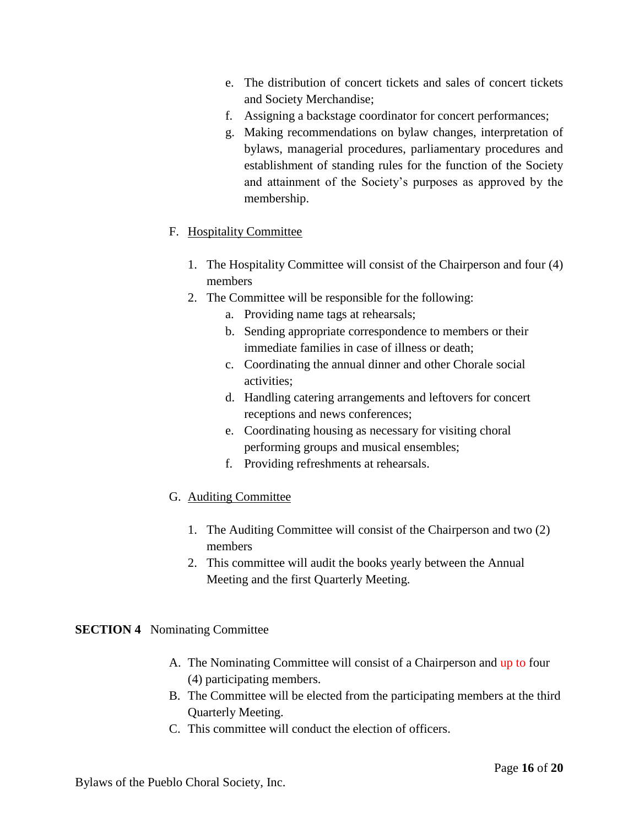- e. The distribution of concert tickets and sales of concert tickets and Society Merchandise;
- f. Assigning a backstage coordinator for concert performances;
- g. Making recommendations on bylaw changes, interpretation of bylaws, managerial procedures, parliamentary procedures and establishment of standing rules for the function of the Society and attainment of the Society's purposes as approved by the membership.

# F. Hospitality Committee

- 1. The Hospitality Committee will consist of the Chairperson and four (4) members
- 2. The Committee will be responsible for the following:
	- a. Providing name tags at rehearsals;
	- b. Sending appropriate correspondence to members or their immediate families in case of illness or death;
	- c. Coordinating the annual dinner and other Chorale social activities;
	- d. Handling catering arrangements and leftovers for concert receptions and news conferences;
	- e. Coordinating housing as necessary for visiting choral performing groups and musical ensembles;
	- f. Providing refreshments at rehearsals.

# G. Auditing Committee

- 1. The Auditing Committee will consist of the Chairperson and two (2) members
- 2. This committee will audit the books yearly between the Annual Meeting and the first Quarterly Meeting.

# **SECTION 4** Nominating Committee

- A. The Nominating Committee will consist of a Chairperson and up to four (4) participating members.
- B. The Committee will be elected from the participating members at the third Quarterly Meeting.
- C. This committee will conduct the election of officers.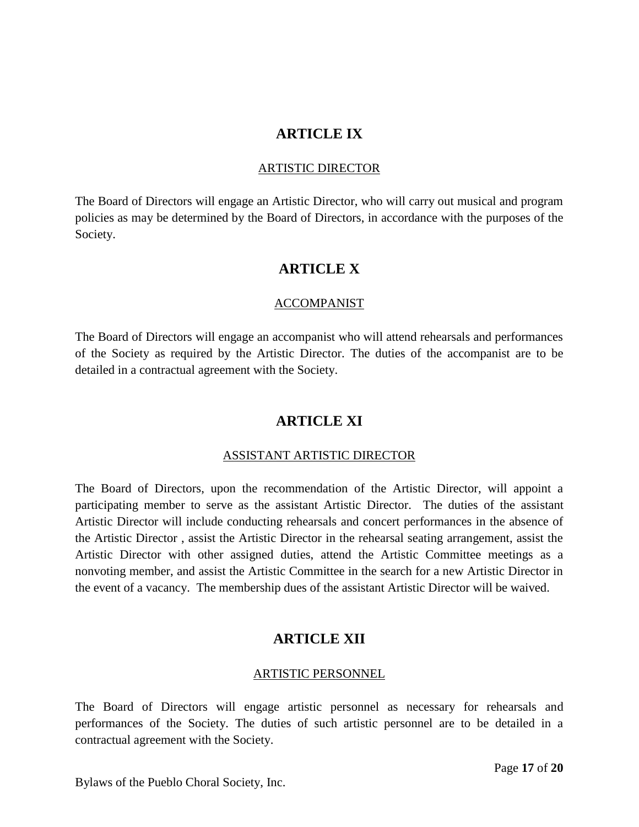# **ARTICLE IX**

#### ARTISTIC DIRECTOR

The Board of Directors will engage an Artistic Director, who will carry out musical and program policies as may be determined by the Board of Directors, in accordance with the purposes of the Society.

# **ARTICLE X**

## ACCOMPANIST

The Board of Directors will engage an accompanist who will attend rehearsals and performances of the Society as required by the Artistic Director. The duties of the accompanist are to be detailed in a contractual agreement with the Society.

# **ARTICLE XI**

#### ASSISTANT ARTISTIC DIRECTOR

The Board of Directors, upon the recommendation of the Artistic Director, will appoint a participating member to serve as the assistant Artistic Director. The duties of the assistant Artistic Director will include conducting rehearsals and concert performances in the absence of the Artistic Director , assist the Artistic Director in the rehearsal seating arrangement, assist the Artistic Director with other assigned duties, attend the Artistic Committee meetings as a nonvoting member, and assist the Artistic Committee in the search for a new Artistic Director in the event of a vacancy. The membership dues of the assistant Artistic Director will be waived.

# **ARTICLE XII**

#### ARTISTIC PERSONNEL

The Board of Directors will engage artistic personnel as necessary for rehearsals and performances of the Society. The duties of such artistic personnel are to be detailed in a contractual agreement with the Society.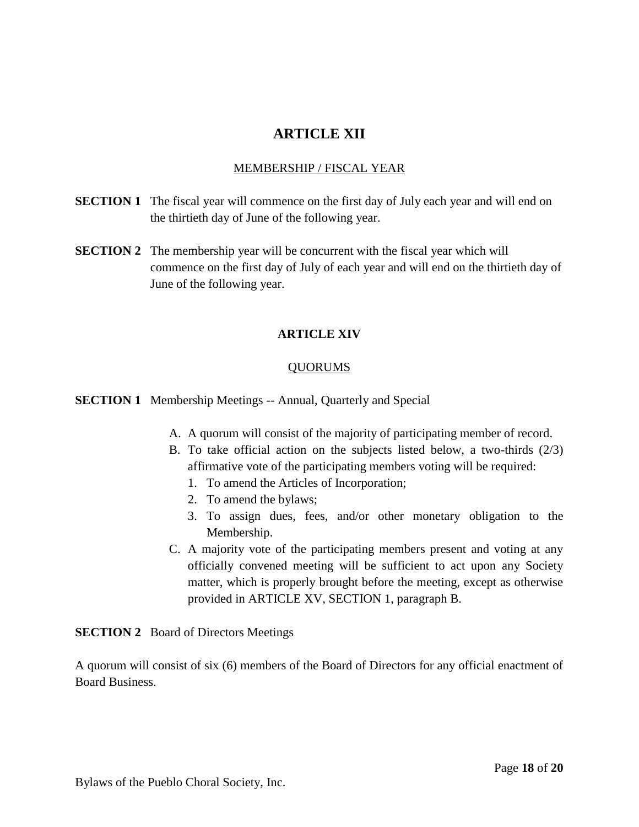# **ARTICLE XII**

## MEMBERSHIP / FISCAL YEAR

- **SECTION 1** The fiscal year will commence on the first day of July each year and will end on the thirtieth day of June of the following year.
- **SECTION 2** The membership year will be concurrent with the fiscal year which will commence on the first day of July of each year and will end on the thirtieth day of June of the following year.

## **ARTICLE XIV**

#### QUORUMS

#### **SECTION 1** Membership Meetings -- Annual, Quarterly and Special

- A. A quorum will consist of the majority of participating member of record.
- B. To take official action on the subjects listed below, a two-thirds (2/3) affirmative vote of the participating members voting will be required:
	- 1. To amend the Articles of Incorporation;
	- 2. To amend the bylaws;
	- 3. To assign dues, fees, and/or other monetary obligation to the Membership.
- C. A majority vote of the participating members present and voting at any officially convened meeting will be sufficient to act upon any Society matter, which is properly brought before the meeting, except as otherwise provided in ARTICLE XV, SECTION 1, paragraph B.

**SECTION 2** Board of Directors Meetings

A quorum will consist of six (6) members of the Board of Directors for any official enactment of Board Business.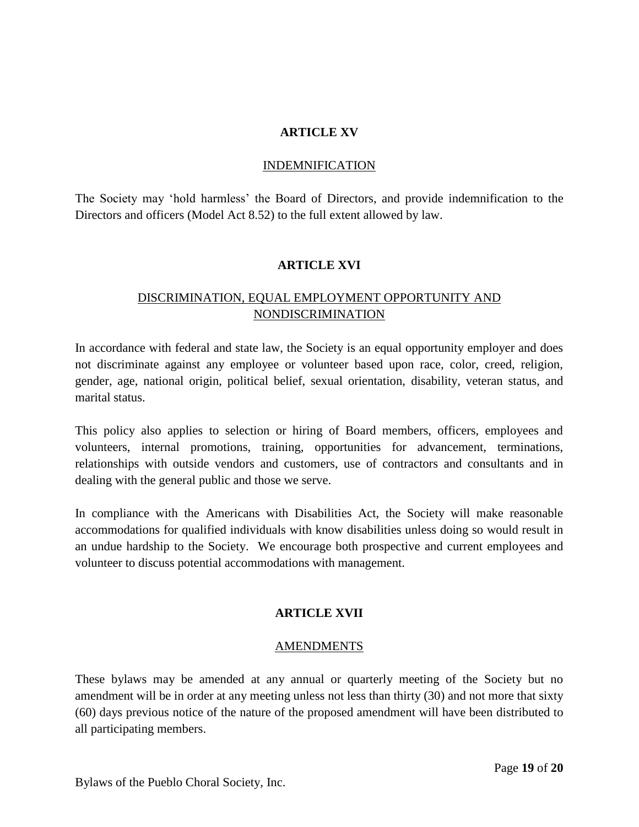## **ARTICLE XV**

#### INDEMNIFICATION

The Society may 'hold harmless' the Board of Directors, and provide indemnification to the Directors and officers (Model Act 8.52) to the full extent allowed by law.

#### **ARTICLE XVI**

# DISCRIMINATION, EQUAL EMPLOYMENT OPPORTUNITY AND NONDISCRIMINATION

In accordance with federal and state law, the Society is an equal opportunity employer and does not discriminate against any employee or volunteer based upon race, color, creed, religion, gender, age, national origin, political belief, sexual orientation, disability, veteran status, and marital status.

This policy also applies to selection or hiring of Board members, officers, employees and volunteers, internal promotions, training, opportunities for advancement, terminations, relationships with outside vendors and customers, use of contractors and consultants and in dealing with the general public and those we serve.

In compliance with the Americans with Disabilities Act, the Society will make reasonable accommodations for qualified individuals with know disabilities unless doing so would result in an undue hardship to the Society. We encourage both prospective and current employees and volunteer to discuss potential accommodations with management.

# **ARTICLE XVII**

#### AMENDMENTS

These bylaws may be amended at any annual or quarterly meeting of the Society but no amendment will be in order at any meeting unless not less than thirty (30) and not more that sixty (60) days previous notice of the nature of the proposed amendment will have been distributed to all participating members.